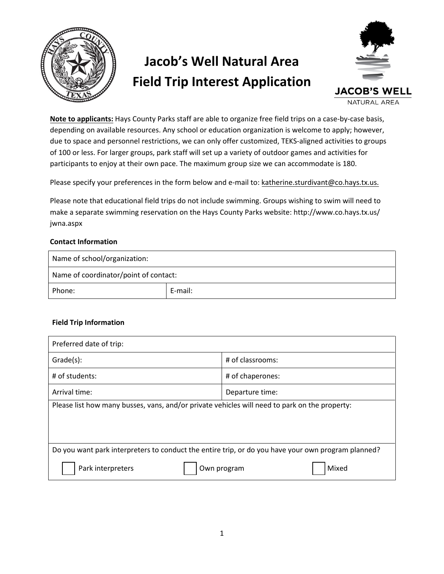

## **Jacob's Well Natural Area Field Trip Interest Application**



**Note to applicants:** Hays County Parks staff are able to organize free field trips on a case-by-case basis, depending on available resources. Any school or education organization is welcome to apply; however, due to space and personnel restrictions, we can only offer customized, TEKS-aligned activities to groups of 100 or less. For larger groups, park staff will set up a variety of outdoor games and activities for participants to enjoy at their own pace. The maximum group size we can accommodate is 180.

Please specify your preferences in the form below and e-mail to: [katherine.sturdivant](mailto:quincy.kennedy@co.hays.tx.us)@co.hays.tx.us.

Please note that educational field trips do not include swimming. Groups wishing to swim will need to [make a separate swimming reservation](http://www.co.hays.tx.us/jwna.aspx) on the Hays County Parks website: http://www.co.hays.tx.us/ jwna.aspx

## **Contact Information**

| Name of school/organization:          |         |  |  |  |
|---------------------------------------|---------|--|--|--|
| Name of coordinator/point of contact: |         |  |  |  |
| Phone:                                | E-mail: |  |  |  |

## **Field Trip Information**

| Preferred date of trip:                                                                            |                      |  |  |  |  |
|----------------------------------------------------------------------------------------------------|----------------------|--|--|--|--|
| $Grade(s)$ :                                                                                       | # of classrooms:     |  |  |  |  |
| # of students:                                                                                     | # of chaperones:     |  |  |  |  |
| Arrival time:                                                                                      | Departure time:      |  |  |  |  |
| Please list how many busses, vans, and/or private vehicles will need to park on the property:      |                      |  |  |  |  |
|                                                                                                    |                      |  |  |  |  |
|                                                                                                    |                      |  |  |  |  |
| Do you want park interpreters to conduct the entire trip, or do you have your own program planned? |                      |  |  |  |  |
| Park interpreters                                                                                  | Mixed<br>Own program |  |  |  |  |